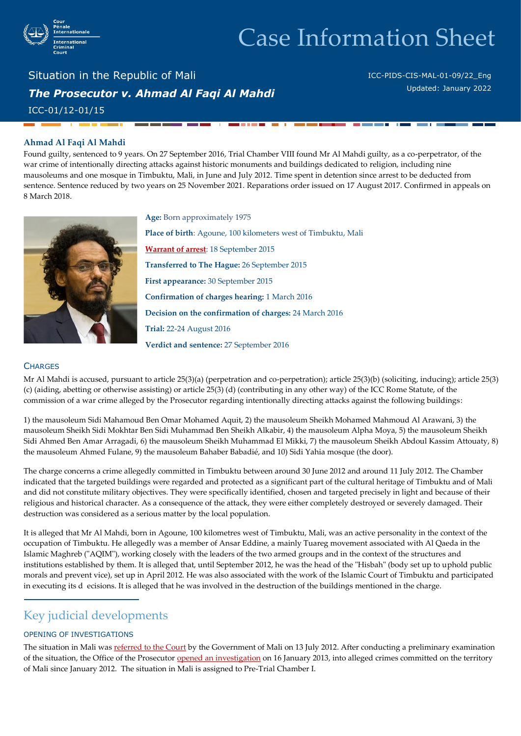

# Case Information Sheet

Situation in the Republic of Mali *The Prosecutor v. Ahmad Al Faqi Al Mahdi*  ICC-01/12-01/15

ICC-PIDS-CIS-MAL-01-09/22\_Eng Updated: January 2022

#### **Ahmad Al Faqi Al Mahdi**

Found guilty, sentenced to 9 years. On 27 September 2016, Trial Chamber VIII found Mr Al Mahdi guilty, as a co-perpetrator, of the war crime of intentionally directing attacks against historic monuments and buildings dedicated to religion, including nine mausoleums and one mosque in Timbuktu, Mali, in June and July 2012. Time spent in detention since arrest to be deducted from sentence. Sentence reduced by two years on 25 November 2021. Reparations order issued on 17 August 2017. Confirmed in appeals on 8 March 2018.



**Age:** Born approximately 1975 **Place of birth**: Agoune, 100 kilometers west of Timbuktu, Mali **[Warrant of arrest](https://www.icc-cpi.int/Pages/record.aspx?docNo=ICC-01/12-01/15-1-red)**: 18 September 2015 **Transferred to The Hague:** 26 September 2015 **First appearance:** 30 September 2015 **Confirmation of charges hearing:** 1 March 2016 **Decision on the confirmation of charges:** 24 March 2016 **Trial:** 22-24 August 2016 **Verdict and sentence:** 27 September 2016

### **CHARGES**

Mr Al Mahdi is accused, pursuant to article 25(3)(a) (perpetration and co-perpetration); article 25(3)(b) (soliciting, inducing); article 25(3) (c) (aiding, abetting or otherwise assisting) or article 25(3) (d) (contributing in any other way) of the ICC Rome Statute, of the commission of a war crime alleged by the Prosecutor regarding intentionally directing attacks against the following buildings:

1) the mausoleum Sidi Mahamoud Ben Omar Mohamed Aquit, 2) the mausoleum Sheikh Mohamed Mahmoud Al Arawani, 3) the mausoleum Sheikh Sidi Mokhtar Ben Sidi Muhammad Ben Sheikh Alkabir, 4) the mausoleum Alpha Moya, 5) the mausoleum Sheikh Sidi Ahmed Ben Amar Arragadi, 6) the mausoleum Sheikh Muhammad El Mikki, 7) the mausoleum Sheikh Abdoul Kassim Attouaty, 8) the mausoleum Ahmed Fulane, 9) the mausoleum Bahaber Babadié, and 10) Sidi Yahia mosque (the door).

The charge concerns a crime allegedly committed in Timbuktu between around 30 June 2012 and around 11 July 2012. The Chamber indicated that the targeted buildings were regarded and protected as a significant part of the cultural heritage of Timbuktu and of Mali and did not constitute military objectives. They were specifically identified, chosen and targeted precisely in light and because of their religious and historical character. As a consequence of the attack, they were either completely destroyed or severely damaged. Their destruction was considered as a serious matter by the local population.

It is alleged that Mr Al Mahdi, born in Agoune, 100 kilometres west of Timbuktu, Mali, was an active personality in the context of the occupation of Timbuktu. He allegedly was a member of Ansar Eddine, a mainly Tuareg movement associated with Al Qaeda in the Islamic Maghreb ("AQIM"), working closely with the leaders of the two armed groups and in the context of the structures and institutions established by them. It is alleged that, until September 2012, he was the head of the "Hisbah" (body set up to uphold public morals and prevent vice), set up in April 2012. He was also associated with the work of the Islamic Court of Timbuktu and participated in executing its d ecisions. It is alleged that he was involved in the destruction of the buildings mentioned in the charge.

## Key judicial developments

### OPENING OF INVESTIGATIONS

The situation in Mali wa[s referred to the Court](http://www.icc-cpi.int/NR/rdonlyres/A245A47F-BFD1-45B6-891C-3BCB5B173F57/0/ReferralLetterMali130712.pdf) by the Government of Mali on 13 July 2012. After conducting a preliminary examination of the situation, the Office of the Prosecutor [opened an investigation](http://www.icc-cpi.int/en_menus/icc/press%20and%20media/press%20releases/Pages/pr869.aspx) on 16 January 2013, into alleged crimes committed on the territory of Mali since January 2012. The situation in Mali is assigned to Pre-Trial Chamber I.